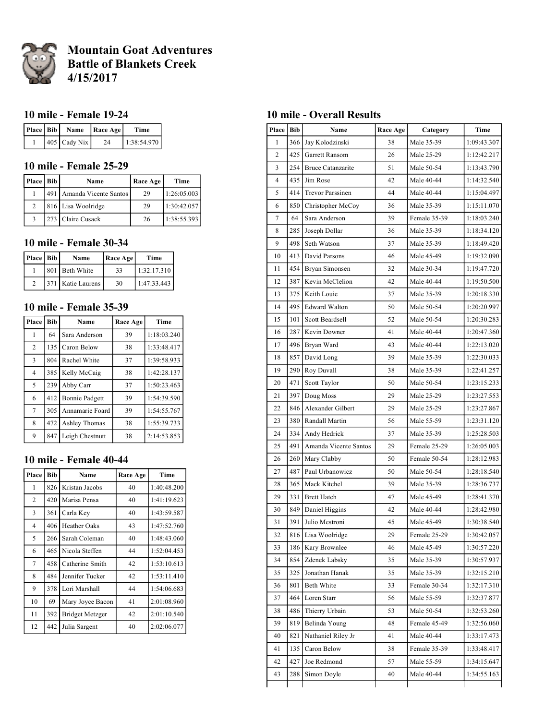

# **Mountain Goat Adventures Battle of Blankets Creek 4/15/2017**

#### **10 mile - Female 19-24**

|  |                | Place   Bib   Name   Race Age | Time        |
|--|----------------|-------------------------------|-------------|
|  | $405$ Cady Nix | 24                            | 1:38:54.970 |

## **10 mile - Female 25-29**

| Place   Bib | Name                        | Race Age | Time        |
|-------------|-----------------------------|----------|-------------|
|             | 491   Amanda Vicente Santos | 29       | 1:26:05.003 |
| 2           | 816 Lisa Woolridge          | 29       | 1:30:42.057 |
|             | 273 Claire Cusack           | 26       | 1:38:55.393 |

#### **10 mile - Female 30-34**

| Place   Bib | Name                | Race Age | Time        |
|-------------|---------------------|----------|-------------|
|             | 801 Beth White      | 33       | 1:32:17.310 |
|             | 371   Katie Laurens | 30       | 1:47:33.443 |

### **10 mile - Female 35-39**

| Place          | <b>Bib</b> | Name                  | Race Age | Time        |
|----------------|------------|-----------------------|----------|-------------|
| 1              | 64         | Sara Anderson         | 39       | 1:18:03.240 |
| 2              | 135        | Caron Below           | 38       | 1:33:48.417 |
| 3              | 804        | Rachel White          | 37       | 1:39:58.933 |
| $\overline{4}$ | 385        | Kelly McCaig          | 38       | 1:42:28.137 |
| 5              | 239        | Abby Carr             | 37       | 1:50:23.463 |
| 6              | 412        | <b>Bonnie Padgett</b> | 39       | 1:54:39.590 |
| $\overline{7}$ | 305        | Annamarie Foard       | 39       | 1:54:55.767 |
| 8              | 472        | Ashley Thomas         | 38       | 1:55:39.733 |
| 9              | 847        | Leigh Chestnutt       | 38       | 2:14:53.853 |

#### **10 mile - Female 40-44**

| Place          | <b>Bib</b> | Name                   | Race Age | Time        |
|----------------|------------|------------------------|----------|-------------|
| 1              | 826        | Kristan Jacobs         | 40       | 1:40:48.200 |
| $\overline{c}$ | 420        | Marisa Pensa           | 40       | 1:41:19.623 |
| 3              | 361        | Carla Key              | 40       | 1:43:59.587 |
| 4              | 406        | Heather Oaks           | 43       | 1:47:52.760 |
| 5              | 266        | Sarah Coleman          | 40       | 1:48:43.060 |
| 6              | 465        | Nicola Steffen         | 44       | 1:52:04.453 |
| 7              | 458        | Catherine Smith        | 42       | 1:53:10.613 |
| 8              | 484        | Jennifer Tucker        | 42       | 1:53:11.410 |
| 9              | 378        | Lori Marshall          | 44       | 1:54:06.683 |
| 10             | 69         | Mary Joyce Bacon       | 41       | 2:01:08.960 |
| 11             | 392        | <b>Bridget Metzger</b> | 42       | 2:01:10.540 |
| 12             | 442        | Julia Sargent          | 40       | 2:02:06.077 |

#### **10 mile - Overall Results**

| Place          | <b>Bib</b> | Name                     | Race Age | Category     | Time        |
|----------------|------------|--------------------------|----------|--------------|-------------|
| 1              | 366        | Jay Kolodzinski          | 38       | Male 35-39   | 1:09:43.307 |
| $\overline{c}$ | 425        | Garrett Ransom           | 26       | Male 25-29   | 1:12:42.217 |
| 3              | 254        | <b>Bruce Catanzarite</b> | 51       | Male 50-54   | 1:13:43.790 |
| $\overline{4}$ | 435        | Jim Rose                 | 42       | Male 40-44   | 1:14:32.540 |
| 5              | 414        | <b>Trevor Parssinen</b>  | 44       | Male 40-44   | 1:15:04.497 |
| 6              | 850        | Christopher McCoy        | 36       | Male 35-39   | 1:15:11.070 |
| 7              | 64         | Sara Anderson            | 39       | Female 35-39 | 1:18:03.240 |
| 8              | 285        | Joseph Dollar            | 36       | Male 35-39   | 1:18:34.120 |
| 9              | 498        | Seth Watson              | 37       | Male 35-39   | 1:18:49.420 |
| 10             | 413        | David Parsons            | 46       | Male 45-49   | 1:19:32.090 |
| 11             | 454        | Bryan Simonsen           | 32       | Male 30-34   | 1:19:47.720 |
| 12             | 387        | Kevin McClelion          | 42       | Male 40-44   | 1:19:50.500 |
| 13             | 375        | Keith Louie              | 37       | Male 35-39   | 1:20:18.330 |
| 14             | 495        | <b>Edward Walton</b>     | 50       | Male 50-54   | 1:20:20.997 |
| 15             | 101        | Scott Beardsell          | 52       | Male 50-54   | 1:20:30.283 |
| 16             | 287        | Kevin Downer             | 41       | Male 40-44   | 1:20:47.360 |
| 17             | 496        | Bryan Ward               | 43       | Male 40-44   | 1:22:13.020 |
| 18             | 857        | David Long               | 39       | Male 35-39   | 1:22:30.033 |
| 19             | 290        | Roy Duvall               | 38       | Male 35-39   | 1:22:41.257 |
| 20             | 471        | Scott Taylor             | 50       | Male 50-54   | 1:23:15.233 |
| 21             | 397        | Doug Moss                | 29       | Male 25-29   | 1:23:27.553 |
| 22             | 846        | Alexander Gilbert        | 29       | Male 25-29   | 1:23:27.867 |
| 23             | 380        | Randall Martin           | 56       | Male 55-59   | 1:23:31.120 |
| 24             | 334        | Andy Hedrick             | 37       | Male 35-39   | 1:25:28.503 |
| 25             | 491        | Amanda Vicente Santos    | 29       | Female 25-29 | 1:26:05.003 |
| 26             | 260        | Mary Clabby              | 50       | Female 50-54 | 1:28:12.983 |
| 27             | 487        | Paul Urbanowicz          | 50       | Male 50-54   | 1:28:18.540 |
| 28             | 365        | Mack Kitchel             | 39       | Male 35-39   | 1:28:36.737 |
| 29             | 331        | <b>Brett Hatch</b>       | 47       | Male 45-49   | 1:28:41.370 |
| 30             | 849        | Daniel Higgins           | 42       | Male 40-44   | 1:28:42.980 |
| 31             | 391        | Julio Mestroni           | 45       | Male 45-49   | 1:30:38.540 |
| 32             |            | 816 Lisa Woolridge       | 29       | Female 25-29 | 1:30:42.057 |
| 33             | 186        | Kary Brownlee            | 46       | Male 45-49   | 1:30:57.220 |
| 34             | 854        | Zdenek Labsky            | 35       | Male 35-39   | 1:30:57.937 |
| 35             | 325        | Jonathan Hanak           | 35       | Male 35-39   | 1:32:15.210 |
| 36             | 801        | Beth White               | 33       | Female 30-34 | 1:32:17.310 |
| 37             | 464        | Loren Starr              | 56       | Male 55-59   | 1:32:37.877 |
| 38             | 486        | Thierry Urbain           | 53       | Male 50-54   | 1:32:53.260 |
| 39             | 819        | Belinda Young            | 48       | Female 45-49 | 1:32:56.060 |
| 40             | 821        | Nathaniel Riley Jr       | 41       | Male 40-44   | 1:33:17.473 |
| 41             | 135        | Caron Below              | 38       | Female 35-39 | 1:33:48.417 |
| 42             | 427        | Joe Redmond              | 57       | Male 55-59   | 1:34:15.647 |
| 43             | 288        | Simon Doyle              | 40       | Male 40-44   | 1:34:55.163 |
|                |            |                          |          |              |             |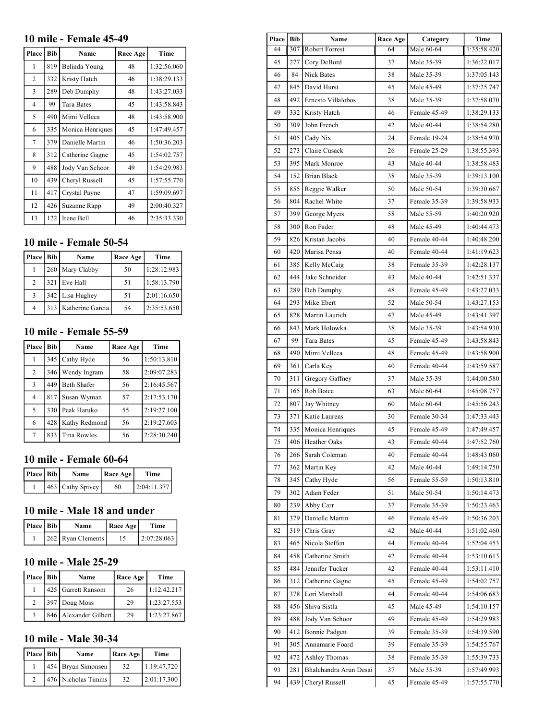#### **10 mile - Female 45-49**

| Place          | <b>Bib</b> | Name              | Race Age | Time        |
|----------------|------------|-------------------|----------|-------------|
| 1              | 819        | Belinda Young     | 48       | 1:32:56.060 |
| 2              | 332        | Kristy Hatch      | 46       | 1:38:29.133 |
| 3              | 289        | Deb Dumphy        | 48       | 1:43:27.033 |
| $\overline{4}$ | 99         | <b>Tara Bates</b> | 45       | 1:43:58.843 |
| 5              | 490        | Mimi Velleca      | 48       | 1:43:58.900 |
| 6              | 335        | Monica Henriques  | 45       | 1:47:49.457 |
| 7              | 379        | Danielle Martin   | 46       | 1:50:36.203 |
| 8              | 312        | Catherine Gagne   | 45       | 1:54:02.757 |
| 9              | 488        | Jody Van Schoor   | 49       | 1:54:29.983 |
| 10             | 439        | Cheryl Russell    | 45       | 1:57:55.770 |
| 11             | 417        | Crystal Payne     | 47       | 1:59:09.697 |
| 12             | 426        | Suzanne Rapp      | 49       | 2:00:40.327 |
| 13             | 122        | Irene Bell        | 46       | 2:35:33.330 |

# **10 mile - Female 50-54**

| Place   Bib    | Name                 | Race Age | Time        |
|----------------|----------------------|----------|-------------|
|                | 260 Mary Clabby      | 50       | 1:28:12.983 |
| $\overline{2}$ | 321 Eve Hall         | 51       | 1:58:13.790 |
| 3              | 342 Lisa Hughey      | 51       | 2:01:16.650 |
| $\overline{4}$ | 313 Katherine Garcia | 54       | 2:35:53.650 |

## **10 mile - Female 55-59**

| <b>Place</b> l | <b>Bib</b> | Name               | Race Age | Time        |
|----------------|------------|--------------------|----------|-------------|
| 1              | 345        | Cathy Hyde         | 56       | 1:50:13.810 |
| $\overline{2}$ | 346        | Wendy Ingram       | 58       | 2:09:07.283 |
| 3              | 449        | <b>Beth Shafer</b> | 56       | 2:16:45.567 |
| 4              | 817        | Susan Wyman        | 57       | 2:17:53.170 |
| 5              |            | 330 Peak Haruko    | 55       | 2:19:27.100 |
| 6              | 428        | Kathy Redmond      | 56       | 2:19:27.603 |
| 7              | 833        | Tina Rowles        | 56       | 2:28:30.240 |

#### **10 mile - Female 60-64**

| Place   Bib | Name                 | Race Age | Time        |
|-------------|----------------------|----------|-------------|
|             | [463] Cathy Spivey ] | 60       | 2:04:11.377 |

# **10 mile - Male 18 and under**

| Place   Bib | Name              | $\vert$ Race Age $\vert$ | Time         |
|-------------|-------------------|--------------------------|--------------|
|             | 262 Ryan Clements |                          | 12:07:28.063 |

#### **10 mile - Male 25-29**

| Place   Bib    | Name                    | Race Age | Time        |
|----------------|-------------------------|----------|-------------|
|                | 425 Garrett Ransom      | 26       | 1:12:42.217 |
| $\mathfrak{D}$ | 397 Doug Moss           | 29       | 1:23:27.553 |
|                | 846   Alexander Gilbert | 29       | 1:23:27.867 |

## **10 mile - Male 30-34**

| Place   Bib | Name               | Race Age | Time        |
|-------------|--------------------|----------|-------------|
|             | 454 Bryan Simonsen | 32       | 1:19:47.720 |
|             | 476 Nicholas Timms | 32       | 2:01:17.300 |

| Place Bib |       | Race Age<br>Name         |    | Category<br>Time |             |
|-----------|-------|--------------------------|----|------------------|-------------|
| 44        |       | 307 Robert Forrest       | 64 | Male 60-64       | 1:35:58.420 |
| 45        |       | 277 Cory DeBord          | 37 | Male 35-39       | 1:36:22.017 |
| 46        | 84    | Nick Bates               | 38 | Male 35-39       | 1:37:05.143 |
| 47        | 845   | David Hurst              | 45 | Male 45-49       | 1:37:25.747 |
| 48        |       | 492 Ernesto Villalobos   | 38 | Male 35-39       | 1:37:58.070 |
| 49        |       | 332 Kristy Hatch         | 46 | Female 45-49     | 1:38:29.133 |
| 50        | 309   | John French              | 42 | Male 40-44       | 1:38:54.280 |
| 51        |       | $405$ Cady Nix           | 24 | Female 19-24     | 1:38:54.970 |
| 52        | 273   | Claire Cusack            | 26 | Female 25-29     | 1:38:55.393 |
| 53        |       | 395   Mark Monroe        | 43 | Male 40-44       | 1:38:58.483 |
| 54        |       | 152 Brian Black          | 38 | Male 35-39       | 1:39:13.100 |
| 55        |       | 855 Reggie Walker        | 50 | Male 50-54       | 1:39:30.667 |
| 56        |       | 804 Rachel White         | 37 | Female 35-39     | 1:39:58.933 |
| 57        |       | 399 George Myers         | 58 | Male 55-59       | 1:40:20.920 |
| 58        |       | 300 Ron Fader            | 48 | Male 45-49       | 1:40:44.473 |
| 59        |       | 826 Kristan Jacobs       | 40 | Female 40-44     | 1:40:48.200 |
| 60        |       | 420   Marisa Pensa       | 40 | Female 40-44     | 1:41:19.623 |
| 61        |       | 385   Kelly McCaig       | 38 | Female 35-39     | 1:42:28.137 |
| 62        | 444   | Jake Schneider           | 43 | Male 40-44       | 1:42:51.337 |
| 63        | 289   | Deb Dumphy               | 48 | Female 45-49     | 1:43:27.033 |
| 64        |       | 293   Mike Ebert         | 52 | Male 50-54       | 1:43:27.153 |
| 65        |       | 828   Martin Laurich     | 47 | Male 45-49       | 1:43:41.397 |
| 66        | 843   | Mark Holowka             | 38 | Male 35-39       | 1:43:54.930 |
| 67        | 99    | Tara Bates               | 45 | Female 45-49     | 1:43:58.843 |
| 68        | 490   | Mimi Velleca             | 48 | Female 45-49     | 1:43:58.900 |
| 69        | 361   | Carla Key                | 40 | Female 40-44     | 1:43:59.587 |
| 70        | 311   | Gregory Gaffney          | 37 | Male 35-39       | 1:44:00.580 |
| 71        |       | 165 Rob Boice            | 63 | Male 60-64       | 1:45:08.757 |
| 72        | 807   | Jay Whitney              | 60 | Male 60-64       | 1:45:56.243 |
| 73        | 371   | Katie Laurens            | 30 | Female 30-34     | 1:47:33.443 |
| 74        | 335   | Monica Henriques         | 45 | Female 45-49     | 1:47:49.457 |
| 75        | 406   | Heather Oaks             | 43 | Female 40-44     | 1:47:52.760 |
| 76        | 266 l | Sarah Coleman            | 40 | Female 40-44     | 1:48:43.060 |
| 77        |       | 362 Martin Key           | 42 | Male 40-44       | 1:49:14.750 |
| 78        | 345   |                          | 56 | Female 55-59     | 1:50:13.810 |
| 79        | 302   | Cathy Hyde<br>Adam Feder | 51 | Male 50-54       | 1:50:14.473 |
|           | 239   |                          |    |                  | 1:50:23.463 |
| 80        |       | Abby Carr                | 37 | Female 35-39     |             |
| 81        | 379   | Danielle Martin          | 46 | Female 45-49     | 1:50:36.203 |
| 82        | 319   | Chris Gray               | 42 | Male 40-44       | 1:51:02.460 |
| 83        | 465   | Nicola Steffen           | 44 | Female 40-44     | 1:52:04.453 |
| 84        | 4581  | Catherine Smith          | 42 | Female 40-44     | 1:53:10.613 |
| 85        |       | 484 Jennifer Tucker      | 42 | Female 40-44     | 1:53:11.410 |
| 86        | 312   | Catherine Gagne          | 45 | Female 45-49     | 1:54:02.757 |
| 87        | 378   | Lori Marshall            | 44 | Female 40-44     | 1:54:06.683 |
| 88        |       | 456 Shiva Sistla         | 45 | Male 45-49       | 1:54:10.157 |
| 89        | 488   | Jody Van Schoor          | 49 | Female 45-49     | 1:54:29.983 |
| 90        | 412   | <b>Bonnie Padgett</b>    | 39 | Female 35-39     | 1:54:39.590 |
| 91        | 305   | Annamarie Foard          | 39 | Female 35-39     | 1:54:55.767 |
| 92        | 472   | Ashley Thomas            | 38 | Female 35-39     | 1:55:39.733 |
| 93        | 281   | Bhalchandra Arun Desai   | 37 | Male 35-39       | 1:57:49.993 |
| 94        | 439   | Cheryl Russell           | 45 | Female 45-49     | 1:57:55.770 |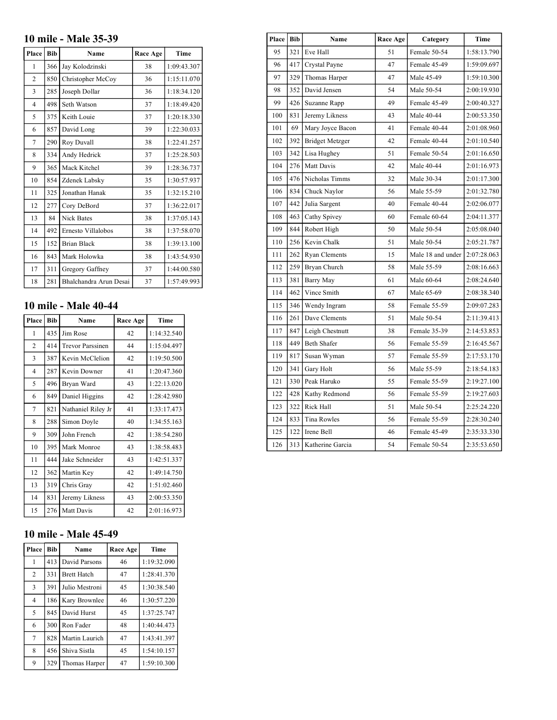# **10 mile - Male 35-39**

| Place          | <b>Bib</b> | Name                   | Race Age | <b>Time</b> |
|----------------|------------|------------------------|----------|-------------|
| 1              | 366        | Jay Kolodzinski        | 38       | 1:09:43.307 |
| $\overline{c}$ | 850        | Christopher McCoy      | 36       | 1:15:11.070 |
| 3              | 285        | Joseph Dollar          | 36       | 1:18:34.120 |
| $\overline{4}$ | 498        | Seth Watson            | 37       | 1:18:49.420 |
| 5              | 375        | Keith Louie            | 37       | 1:20:18.330 |
| 6              | 857        | David Long             | 39       | 1:22:30.033 |
| 7              | 290        | Roy Duvall             | 38       | 1:22:41.257 |
| 8              | 334        | Andy Hedrick           | 37       | 1:25:28.503 |
| 9              | 365        | Mack Kitchel           | 39       | 1:28:36.737 |
| 10             | 854        | Zdenek Labsky          | 35       | 1:30:57.937 |
| 11             | 325        | Jonathan Hanak         | 35       | 1:32:15.210 |
| 12             | 277        | Cory DeBord            | 37       | 1:36:22.017 |
| 13             | 84         | <b>Nick Bates</b>      | 38       | 1:37:05.143 |
| 14             | 492        | Ernesto Villalobos     | 38       | 1:37:58.070 |
| 15             | 152        | <b>Brian Black</b>     | 38       | 1:39:13.100 |
| 16             | 843        | Mark Holowka           | 38       | 1:43:54.930 |
| 17             | 311        | Gregory Gaffney        | 37       | 1:44:00.580 |
| 18             | 281        | Bhalchandra Arun Desai | 37       | 1:57:49.993 |

# **10 mile - Male 40-44**

| Place | <b>Bib</b> | Name                    | Race Age | Time        |
|-------|------------|-------------------------|----------|-------------|
| 1     | 435        | Jim Rose                | 42       | 1:14:32.540 |
| 2     | 414        | <b>Trevor Parssinen</b> | 44       | 1:15:04.497 |
| 3     | 387        | Kevin McClelion         | 42       | 1:19:50.500 |
| 4     | 287        | Kevin Downer            | 41       | 1:20:47.360 |
| 5     | 496        | Bryan Ward              | 43       | 1:22:13.020 |
| 6     | 849        | Daniel Higgins          | 42       | 1:28:42.980 |
| 7     | 821        | Nathaniel Riley Jr      | 41       | 1:33:17.473 |
| 8     | 288        | Simon Doyle             | 40       | 1:34:55.163 |
| 9     | 309        | John French             | 42       | 1:38:54.280 |
| 10    | 395        | Mark Monroe             | 43       | 1:38:58.483 |
| 11    | 444        | Jake Schneider          | 43       | 1:42:51.337 |
| 12    | 362        | Martin Key              | 42       | 1:49:14.750 |
| 13    | 319        | Chris Gray              | 42       | 1:51:02.460 |
| 14    | 831        | Jeremy Likness          | 43       | 2:00:53.350 |
| 15    | 276        | Matt Davis              | 42       | 2:01:16.973 |

# **10 mile - Male 45-49**

| Place          | <b>Bib</b> | Name               | Race Age | Time        |
|----------------|------------|--------------------|----------|-------------|
| 1              | 413        | David Parsons      | 46       | 1:19:32.090 |
| $\overline{2}$ | 331        | <b>Brett Hatch</b> | 47       | 1:28:41.370 |
| 3              | 391        | Julio Mestroni     | 45       | 1:30:38.540 |
| $\overline{4}$ | 186        | Kary Brownlee      | 46       | 1:30:57.220 |
| 5              | 845        | David Hurst        | 45       | 1:37:25.747 |
| 6              | 300        | Ron Fader          | 48       | 1:40:44.473 |
| 7              | 828        | Martin Laurich     | 47       | 1:43:41.397 |
| 8              | 456        | Shiva Sistla       | 45       | 1:54:10.157 |
| 9              | 329        | Thomas Harper      | 47       | 1:59:10.300 |

| Place | <b>Bib</b> | Name                   | Race Age | Category          | Time        |
|-------|------------|------------------------|----------|-------------------|-------------|
| 95    | 321        | Eve Hall               | 51       | Female 50-54      | 1:58:13.790 |
| 96    | 417        | Crystal Payne          | 47       | Female 45-49      | 1:59:09.697 |
| 97    | 329        | Thomas Harper          | 47       | Male 45-49        | 1:59:10.300 |
| 98    | 352        | David Jensen           | 54       | Male 50-54        | 2:00:19.930 |
| 99    | 426        | Suzanne Rapp           | 49       | Female 45-49      | 2:00:40.327 |
| 100   | 831        | Jeremy Likness         | 43       | Male 40-44        | 2:00:53.350 |
| 101   | 69         | Mary Joyce Bacon       | 41       | Female 40-44      | 2:01:08.960 |
| 102   | 392        | <b>Bridget Metzger</b> | 42       | Female 40-44      | 2:01:10.540 |
| 103   | 342        | Lisa Hughey            | 51       | Female 50-54      | 2:01:16.650 |
| 104   | 276        | Matt Davis             | 42       | Male 40-44        | 2:01:16.973 |
| 105   | 476        | Nicholas Timms         | 32       | Male 30-34        | 2:01:17.300 |
| 106   | 834 l      | Chuck Naylor           | 56       | Male 55-59        | 2:01:32.780 |
| 107   | 442        | Julia Sargent          | 40       | Female 40-44      | 2:02:06.077 |
| 108   | 463        | Cathy Spivey           | 60       | Female 60-64      | 2:04:11.377 |
| 109   | 844        | Robert High            | 50       | Male 50-54        | 2:05:08.040 |
| 110   | 256        | Kevin Chalk            | 51       | Male 50-54        | 2:05:21.787 |
| 111   | 262        | <b>Ryan Clements</b>   | 15       | Male 18 and under | 2:07:28.063 |
| 112   | 259        | Bryan Church           | 58       | Male 55-59        | 2:08:16.663 |
| 113   | 381        | Barry May              | 61       | Male 60-64        | 2:08:24.640 |
| 114   | 462        | Vince Smith            | 67       | Male 65-69        | 2:08:38.340 |
| 115   | 346        | Wendy Ingram           | 58       | Female 55-59      | 2:09:07.283 |
| 116   | 261        | Dave Clements          | 51       | Male 50-54        | 2:11:39.413 |
| 117   | 847        | Leigh Chestnutt        | 38       | Female 35-39      | 2:14:53.853 |
| 118   | 449        | Beth Shafer            | 56       | Female 55-59      | 2:16:45.567 |
| 119   | 817        | Susan Wyman            | 57       | Female 55-59      | 2:17:53.170 |
| 120   | 341        | Gary Holt              | 56       | Male 55-59        | 2:18:54.183 |
| 121   | 330        | Peak Haruko            | 55       | Female 55-59      | 2:19:27.100 |
| 122   | 428        | Kathy Redmond          | 56       | Female 55-59      | 2:19:27.603 |
| 123   | 322        | Rick Hall              | 51       | Male 50-54        | 2:25:24.220 |
| 124   | 833        | <b>Tina Rowles</b>     | 56       | Female 55-59      | 2:28:30.240 |
| 125   | 122        | Irene Bell             | 46       | Female 45-49      | 2:35:33.330 |
| 126   | 313        | Katherine Garcia       | 54       | Female 50-54      | 2:35:53.650 |